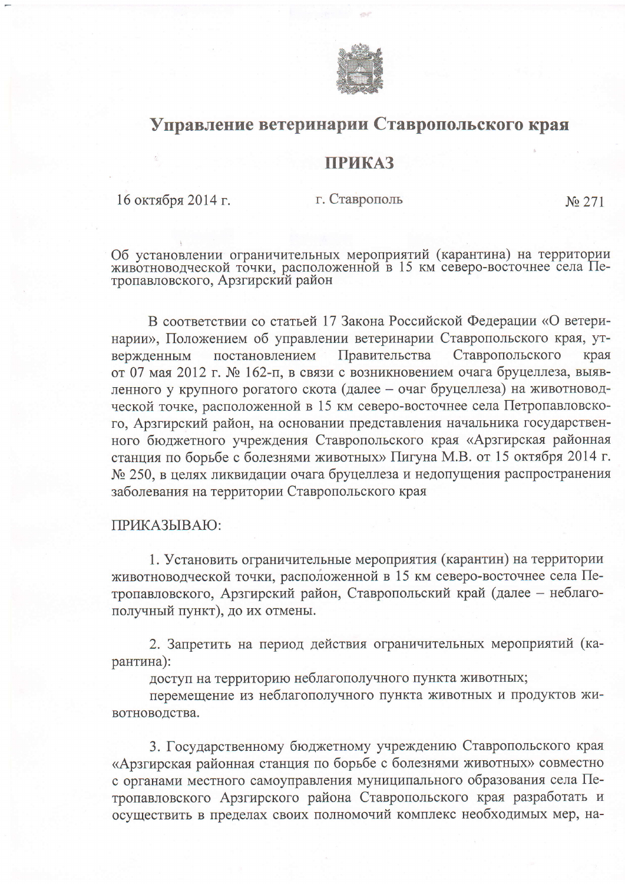

## Управление ветеринарии Ставропольского края

## **ПРИКАЗ**

16 октября 2014 г.

г. Ставрополь

No 271

Об установлении ограничительных мероприятий (карантина) на территории животноводческой точки, расположенной в 15 км северо-восточнее села Пе-тропавловского, Арзгирский район

В соответствии со статьей 17 Закона Российской Федерации «О ветеринарии», Положением об управлении ветеринарии Ставропольского края, утпостановлением Правительства Ставропольского края вержденным от 07 мая 2012 г. № 162-п, в связи с возникновением очага бруцеллеза, выявленного у крупного рогатого скота (далее - очаг бруцеллеза) на животноводческой точке, расположенной в 15 км северо-восточнее села Петропавловского, Арзгирский район, на основании представления начальника государственного бюджетного учреждения Ставропольского края «Арзгирская районная станция по борьбе с болезнями животных» Пигуна М.В. от 15 октября 2014 г. № 250, в целях ликвидации очага бруцеллеза и недопущения распространения заболевания на территории Ставропольского края

## ПРИКАЗЫВАЮ:

1. Установить ограничительные мероприятия (карантин) на территории животноводческой точки, расположенной в 15 км северо-восточнее села Петропавловского, Арзгирский район, Ставропольский край (далее - неблагополучный пункт), до их отмены.

2. Запретить на период действия ограничительных мероприятий (карантина):

доступ на территорию неблагополучного пункта животных;

перемещение из неблагополучного пункта животных и продуктов животноводства.

3. Государственному бюджетному учреждению Ставропольского края «Арзгирская районная станция по борьбе с болезнями животных» совместно с органами местного самоуправления муниципального образования села Петропавловского Арзгирского района Ставропольского края разработать и осуществить в пределах своих полномочий комплекс необходимых мер, на